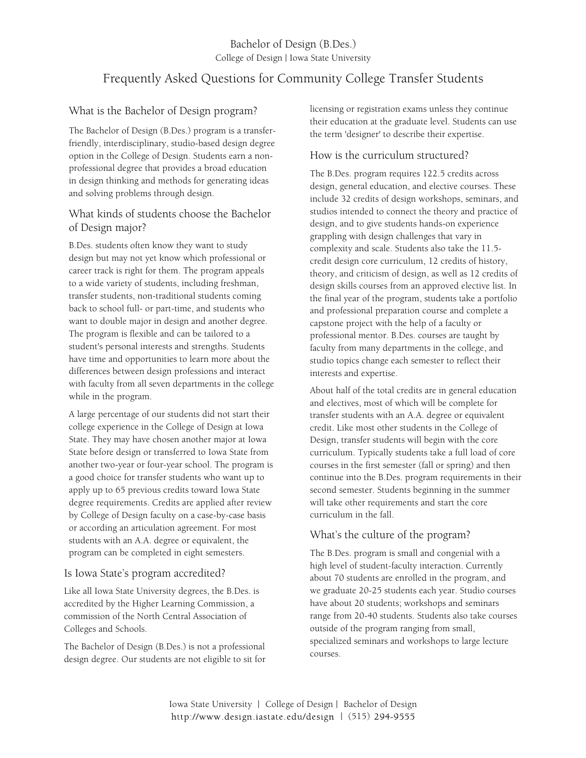## Bachelor of Design (B.Des.) College of Design | Iowa State University

# Frequently Asked Questions for Community College Transfer Students

### What is the Bachelor of Design program?

The Bachelor of Design (B.Des.) program is a transferfriendly, interdisciplinary, studio-based design degree option in the College of Design. Students earn a nonprofessional degree that provides a broad education in design thinking and methods for generating ideas and solving problems through design.

#### What kinds of students choose the Bachelor of Design major?

B.Des. students often know they want to study design but may not yet know which professional or career track is right for them. The program appeals to a wide variety of students, including freshman, transfer students, non-traditional students coming back to school full- or part-time, and students who want to double major in design and another degree. The program is flexible and can be tailored to a student's personal interests and strengths. Students have time and opportunities to learn more about the differences between design professions and interact with faculty from all seven departments in the college while in the program.

A large percentage of our students did not start their college experience in the College of Design at Iowa State. They may have chosen another major at Iowa State before design or transferred to Iowa State from another two-year or four-year school. The program is a good choice for transfer students who want up to apply up to 65 previous credits toward Iowa State degree requirements. Credits are applied after review by College of Design faculty on a case-by-case basis or according an articulation agreement. For most students with an A.A. degree or equivalent, the program can be completed in eight semesters.

#### Is Iowa State's program accredited?

Like all Iowa State University degrees, the B.Des. is accredited by the Higher Learning Commission, a commission of the North Central Association of Colleges and Schools.

The Bachelor of Design (B.Des.) is not a professional design degree. Our students are not eligible to sit for licensing or registration exams unless they continue their education at the graduate level. Students can use the term 'designer' to describe their expertise.

#### How is the curriculum structured?

The B.Des. program requires 122.5 credits across design, general education, and elective courses. These include 32 credits of design workshops, seminars, and studios intended to connect the theory and practice of design, and to give students hands-on experience grappling with design challenges that vary in complexity and scale. Students also take the 11.5 credit design core curriculum, 12 credits of history, theory, and criticism of design, as well as 12 credits of design skills courses from an approved elective list. In the final year of the program, students take a portfolio and professional preparation course and complete a capstone project with the help of a faculty or professional mentor. B.Des. courses are taught by faculty from many departments in the college, and studio topics change each semester to reflect their interests and expertise.

About half of the total credits are in general education and electives, most of which will be complete for transfer students with an A.A. degree or equivalent credit. Like most other students in the College of Design, transfer students will begin with the core curriculum. Typically students take a full load of core courses in the first semester (fall or spring) and then continue into the B.Des. program requirements in their second semester. Students beginning in the summer will take other requirements and start the core curriculum in the fall.

## What's the culture of the program?

The B.Des. program is small and congenial with a high level of student-faculty interaction. Currently about 70 students are enrolled in the program, and we graduate 20-25 students each year. Studio courses have about 20 students; workshops and seminars range from 20-40 students. Students also take courses outside of the program ranging from small, specialized seminars and workshops to large lecture courses.